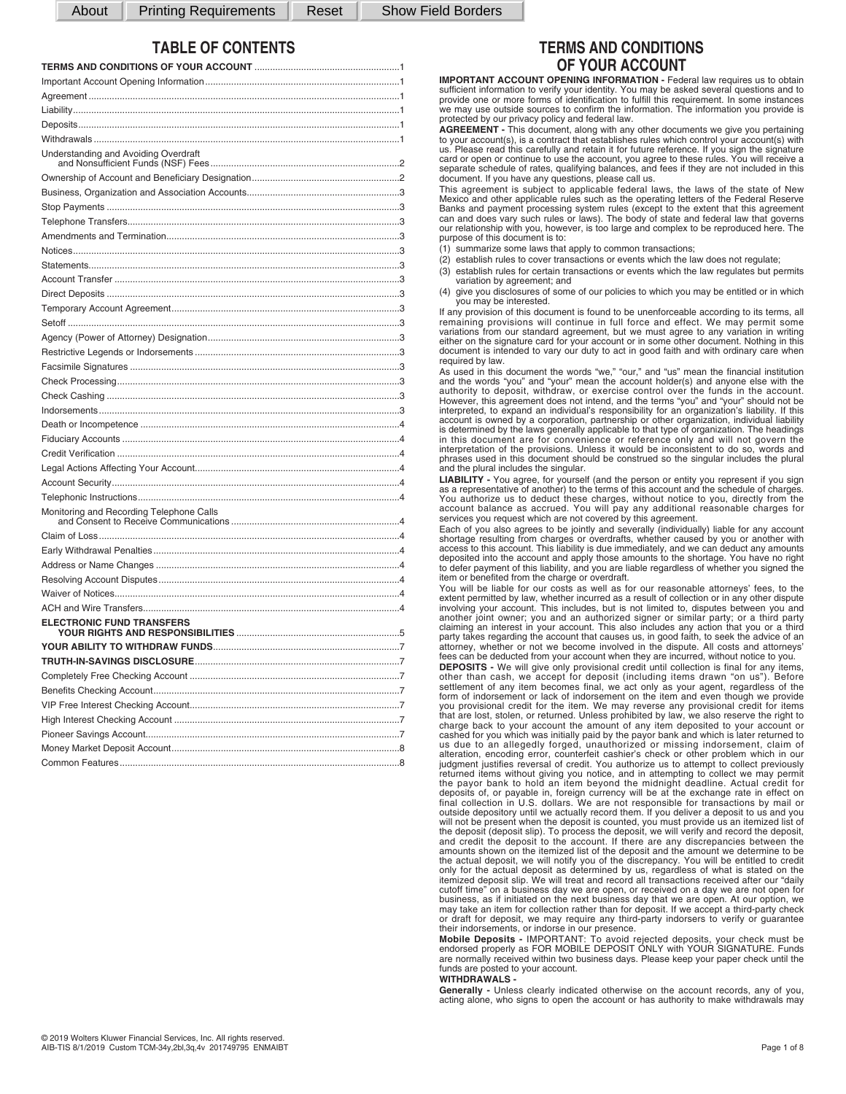About | Printing Requirements | Reset | Show Field Borders

# **TABLE OF CONTENTS**

| Understanding and Avoiding Overdraft     |           |
|------------------------------------------|-----------|
|                                          |           |
|                                          |           |
|                                          |           |
|                                          |           |
|                                          | 3         |
|                                          | 3         |
|                                          | .3        |
|                                          | $\cdot$ 3 |
|                                          |           |
|                                          |           |
|                                          |           |
|                                          |           |
|                                          |           |
|                                          |           |
|                                          |           |
|                                          |           |
|                                          | 3         |
|                                          |           |
|                                          |           |
|                                          |           |
|                                          |           |
|                                          |           |
|                                          |           |
| Monitoring and Recording Telephone Calls |           |
|                                          |           |
|                                          |           |
|                                          |           |
|                                          |           |
|                                          |           |
|                                          |           |
| <b>ELECTRONIC FUND TRANSFERS</b>         |           |
|                                          |           |
|                                          |           |
|                                          |           |
|                                          | .7        |
|                                          |           |
|                                          |           |
|                                          |           |
|                                          | 8         |
|                                          | .8        |

# **TERMS AND CONDITIONS OF YOUR ACCOUNT**

**IMPORTANT ACCOUNT OPENING INFORMATION - Federal law requires us to obtain** sufficient information to verify your identity. You may be asked several questions and to provide one or more forms of identification to fulfill this requirement. In some instances we may use outside sources to confirm the information. The information you provide is protected by our privacy policy and federal law.

**AGREEMENT -** This document, along with any other documents we give you pertaining to your account(s), is a contract that establishes rules which control your account(s) with us. Please read this carefully and retain it for future reference. If you sign the signature card or open or continue to use the account, you agree to these rules. You will receive a<br>separate schedule of rates, qualifying balances, and fees if they are not included in this<br>document. If you have any questions, plea

This agreement is subject to applicable federal laws, the laws of the state of New Mexico and other applicable rules such as the operating letters of the Federal Reserve<br>Banks and payment processing system rules (except to the extent that this agreement<br>can and does vary such rules or laws). The body of our relationship with you, however, is too large and complex to be reproduced here. The purpose of this document is to:

- (1) summarize some laws that apply to common transactions;
- (2) establish rules to cover transactions or events which the law does not regulate;
- (3) establish rules for certain transactions or events which the law regulates but permits variation by agreement; and

(4) give you disclosures of some of our policies to which you may be entitled or in which you may be interested.

If any provision of this document is found to be unenforceable according to its terms, all<br>remaining provisions will continue in full force and effect. We may permit some<br>variations from our standard agreement, but we must either on the signature card for your account or in some other document. Nothing in this document is intended to vary our duty to act in good faith and with ordinary care when required by law.

As used in this document the words "we," "our," and "us" mean the financial institution<br>and the words "you" and "your" mean the account holder(s) and anyone else with the<br>authority to deposit, withdraw, or exercise control However, this agreement does not intend, and the terms "you" and "your" should not be<br>interpreted, to expand an individual's responsibility for an organization's liability. If this<br>account is owned by a corporation, partne phrases used in this document should be construed so the singular includes the plural and the plural includes the singular.

**LIABILITY -** You agree, for yourself (and the person or entity you represent if you sign as a representative of another) to the terms of this account and the schedule of charges. You authorize us to deduct these charges, without notice to you, directly from the<br>account balance as accrued. You will pay any additional reasonable charges for<br>services you request which are not covered by this agreement

Each of you also agrees to be jointly and severally (individually) liable for any account shortage resulting from charges or overdrafts, whether caused by you or another with<br>access to this account. This liability is due immediately, and we can deduct any amounts<br>deposited into the account and apply those amoun item or benefited from the charge or overdraft.

You will be liable for our costs as well as for our reasonable attorneys' fees, to the extent permitted by law, whether incurred as a result of collection or in any other dispute involving your account. This includes, but is not limited to, disputes between you and another joint owner; you and an authorized fees can be deducted from your account when they are incurred, without notice to you.

**DEPOSITS -** We will give only provisional credit until collection is final for any items, other than cash, we accept for deposit (including items drawn "on us"). Before<br>settlement of any item becomes final, we act only as your agent, regardless of the<br>form of indorsement or lack of indorsement on the item and e you provisional credit for the item. We may reverse any provisional credit for items<br>that are lost, stolen, or returned. Unless prohibited by law, we also reserve the right to<br>charge back to your account the amount of any cashed for you which was initially paid by the payor bank and which is later returned to<br>us due to an allegedly forged, unauthorized or missing indorsement, claim of<br>alteration, encoding error, counterfeit cashier's check judgment justifies reversal of credit. You authorize us to attempt to collect previously<br>returned items without giving you notice, and in attempting to collect we may permit<br>the payor bank to hold an item beyond the midnig deposits of, or payable in, foreign currency will be at the exchange rate in effect on<br>final collection in U.S. dollars. We are not responsible for transactions by mail or<br>outside depository until we actually record them. will not be present when the deposit is counted, you must provide us an itemized list of the deposit (deposit slip). To process the deposit, we will verify and record the deposit, and credit the deposit to the account. If there are any discrepancies between the amounts shown on the itemized list of the deposit and the amount we determine to be<br>the actual deposit, we will notify you of the discrepancy. You will be entitled to credit<br>only for the actual deposit as determined by us, cutoff time" on a business day we are open, or received on a day we are not open for business, as if initiated on the next business day that we are open. At our option, we may take an item for collection rather than for deposit. If we accept a third-party check or draft for deposit, we may require any third-party indorsers to verify or guarantee

their indorsements, or indorse in our presence.<br>**Mobile Deposits -** IMPORTANT: To avoid rejected deposits, your check must be<br>endorsed properly as FOR MOBILE DEPOSIT ONLY with YOUR SIGNATURE. Funds are normally received within two business days. Please keep your paper check until the funds are posted to your account.

#### **WITHDRAWALS -**

**Generally -** Unless clearly indicated otherwise on the account records, any of you, acting alone, who signs to open the account or has authority to make withdrawals may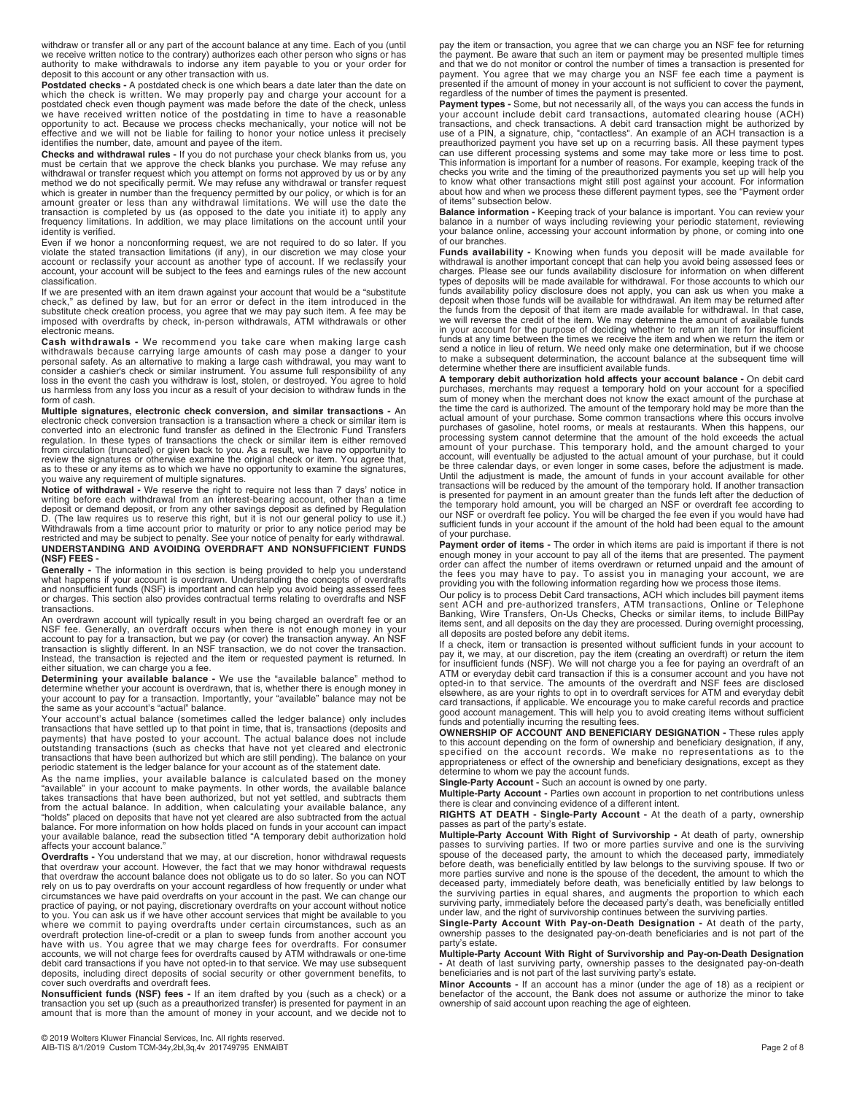withdraw or transfer all or any part of the account balance at any time. Each of you (until we receive written notice to the contrary) authorizes each other person who signs or has authority to make withdrawals to indorse any item payable to you or your order for deposit to this account or any other transaction with us.

**Postdated checks -** A postdated check is one which bears a date later than the date on which the check is written. We may properly pay and charge your account for a postdated check even though payment was made before the

withdrawal or transfer request which you attempt on forms not approved by us or by any<br>method we do not specifically permit. We may refuse any withdrawal or transfer request<br>which is greater in number than the frequency pe amount greater or less than any withdrawal limitations. We will use the date the<br>transaction is completed by us (as opposed to the date you initiate it) to apply any<br>frequency limitations. In addition, we may place limitat identity is verified.

Even if we honor a nonconforming request, we are not required to do so later. If you<br>violate the stated transaction limitations (if any), in our discretion we may close your<br>account or reclassify your account as another ty classification.

If we are presented with an item drawn against your account that would be a "substitute check," as defined by law, but for an error or defect in the item introduced in the<br>substitute check creation process, you agree that we may pay such item. A fee may be<br>imposed with overdrafts by check, in-person withdrawa electronic means.

**Cash withdrawals -** We recommend you take care when making large cash withdrawals because carrying large amounts of cash may pose a danger to your<br>personal safety. As an alternative to making a large cash withdrawal, you may want to<br>consider a cashier's check or similar instrument. You assum loss in the event the cash you withdraw is lost, stolen, or destroyed. You agree to hold us harmless from any loss you incur as a result of your decision to withdraw funds in the form of cash.

**Multiple signatures, electronic check conversion, and similar transactions -** An<br>electronic check conversion transaction is a transaction where a check or similar item is<br>converted into an electronic fund transfer as defi regulation. In these types of transactions the check or similar item is either removed<br>from circulation (truncated) or given back to you. As a result, we have no opportunity to<br>review the signatures or otherwise examine th as to these or any items as to which we have no opportunity to examine the signatures, you waive any requirement of multiple signatures.

**Notice of withdrawal -** We reserve the right to require not less than 7 days' notice in writing before each withdrawal from an interest-bearing account, other than a time deposit or demand deposit, or from any other savings deposit as defined by Regulation<br>D. (The law requires us to reserve this right, but it is not our general policy to use it.)<br>Withdrawals from a time account prior to mat restricted and may be subject to penalty. See your notice of penalty for early withdrawal. **UNDERSTANDING AND AVOIDING OVERDRAFT AND NONSUFFICIENT FUNDS (NSF) FEES -** 

**Generally -** The information in this section is being provided to help you understand what happens if your account is overdrawn. Understanding the concepts of overdrafts<br>and nonsufficient funds (NSF) is important and can help you avoid being assessed fees<br>or charges. This section also provides contractual t transactions.

An overdrawn account will typically result in you being charged an overdraft fee or an NSF fee. Generally, an overdraft occurs when there is not enough money in your account to pay for a transaction, but we pay (or cover) the transaction anyway. An NSF transaction is slightly different. In an NSF transaction

**Determining your available balance -** We use the "available balance" method to determine whether your account is overdrawn, that is, whether there is enough money in your account to pay for a transaction. Importantly, your "available" balance may not be the same as your account's "actual" balance.

Your account's actual balance (sometimes called the ledger balance) only includes transactions that have settled up to that point in time, that is, transactions (deposits and payments) that have posted to your account. The actual balance does not include outstanding transactions (such as checks that have not yet cleared and electronic transactions that have been authorized but which are still pending). The balance on your periodic statement is the ledger balance for your account as of the statement date.

As the name implies, your available balance is calculated based on the money<br>"available" in your account to make payments. In other words, the available balance<br>takes transactions that have been authorized, but not yet set from the actual balance. In addition, when calculating your available balance, any "holds" placed on deposits that have not yet cleared are also subtracted from the actual balance. For more information on how holds placed

Overdrafts - You understand that we may, at our discretion, honor withdrawal requests<br>that overdraw your account. However, the fact that we may honor withdrawal requests<br>that overdraw the account balance does not obligate circumstances we have paid overdrafts on your account in the past. We can change our<br>practice of paying, or not paying, discretionary overdrafts on your account without notice<br>to you. You can ask us if we have other accoun where we commit to paying overdrafts under certain circumstances, such as an overdraft protection line-of-credit or a plan to sweep funds from another account you have with us. You agree that we may charge fees for overdrafts. For consumer<br>accounts, we will not charge fees for overdrafts caused by ATM withdrawals or one-time<br>debit card transactions if you have not opted-in to that s deposits, including direct deposits of social security or other government benefits, to cover such overdrafts and overdraft fees.

**Nonsufficient funds (NSF) fees -** If an item drafted by you (such as a check) or a transaction you set up (such as a preauthorized transfer) is presented for payment in an amount that is more than the amount of money in your account, and we decide not to

pay the item or transaction, you agree that we can charge you an NSF fee for returning the payment. Be aware that such an item or payment may be presented multiple times and that we do not monitor or control the number of times a transaction is presented for<br>payment. You agree that we may charge you an NSF fee each time a payment is<br>presented if the amount of money in your account is not s regardless of the number of times the payment is presented.

**Payment types -** Some, but not necessarily all, of the ways you can access the funds in your account include debit card transactions, automated clearing house (ACH) transactions, and check transactions. A debit card transaction might be authorized by<br>use of a PIN, a signature, chip, "contactless". An example of an ACH transaction is a<br>preauthorized payment you have set up on a recurri to know what other transactions might still post against your account. For information about how and when we process these different payment types, see the "Payment order of items" subsection below.

**Balance information -** Keeping track of your balance is important. You can review your balance in a number of ways including reviewing your periodic statement, reviewing your balance online, accessing your account information by phone, or coming into one of our branches.

**Funds availability** - Knowing when funds you deposit will be made available for withdrawal is another important concept that can help you avoid being assessed fees or charges. Please see our funds availability disclosure the funds from the deposit of that item are made available for withdrawal. In that case, we will reverse the credit of the item. We may determine the amount of available funds<br>in your account for the purpose of deciding whether to return an item for insufficient<br>funds at any time between the times we receive t send a notice in lieu of return. We need only make one determination, but if we choose to make a subsequent determination, the account balance at the subsequent time will determine whether there are insufficient available funds.

**A temporary debit authorization hold affects your account balance -** On debit card purchases, merchants may request a temporary hold on your account for a specified sum of money when the merchant does not know the exact amount of the purchase at the time the card is authorized. The amount of the temporary hold may be more than the actual amount of your purchase. Some common transactions where this occurs involve purchases of gasoline, hotel rooms, or meals at restaurants. When this happens, our processing system cannot determine that the amount of the hold exceeds the actual amount of your purchase. This temporary hold, and the amount charged to your<br>account, will eventually be adjusted to the actual amount of your purchase, but it could<br>be three calendar days, or even longer in some cases, be Until the adjustment is made, the amount of funds in your account available for other transactions will be reduced by the amount of the temporary hold. If another transaction is presented for payment in an amount greater than the funds left after the deduction of the temporary hold amount, you will be charged an NSF or overdraft fee according to<br>our NSF or overdraft fee policy. You will be charged the fee even if you would have had<br>sufficient funds in your account if the amount of of your purchase.

**Payment order of items -** The order in which items are paid is important if there is not enough money in your account to pay all of the items that are presented. The payment order can affect the number of items overdrawn

sent ACH and pre-authorized transfers, ATM transactions, Online or Telephone<br>Banking, Wire Transfers, On-Us Checks, Checks or similar items, to include BillPay<br>items sent, and all deposits on the day they are processed. Du all deposits are posted before any debit items.

If a check, item or transaction is presented without sufficient funds in your account to pay it, we may, at our discretion, pay the item (creating an overdraft) or return the item (string) for insufficient funds (NSF). We

**OWNERSHIP OF ACCOUNT AND BENEFICIARY DESIGNATION -** These rules apply to this account depending on the form of ownership and beneficiary designation, if any,<br>specified on the account records. We make no representations as to the<br>appropriateness or effect of the ownership and beneficiary desi determine to whom we pay the account funds.

**Single-Party Account -** Such an account is owned by one party.

**Multiple-Party Account -** Parties own account in proportion to net contributions unless<br>there is clear and convincing evidence of a different intent.<br>**RIGHTS AT DEATH - Single-Party Account -** At the death of a party, own

passes as part of the party's estate.

**Multiple-Party Account With Right of Survivorship -** At death of party, ownership passes to surviving parties. If two or more parties survive and one is the surviving<br>spouse of the deceased party, the amount to which the deceased party, immediately<br>before death, was beneficially entitled by law belongs more parties survive and none is the spouse of the decedent, the amount to which the<br>deceased party, immediately before death, was beneficially entitled by law belongs to<br>the surviving parties in equal shares, and augments surviving party, immediately before the deceased party's death, was beneficially entitled under law, and the right of survivorship continues between the surviving parties.

**Single-Party Account With Pay-on-Death Designation -** At death of the party, ownership passes to the designated pay-on-death beneficiaries and is not part of the party's estate.

**Multiple-Party Account With Right of Survivorship and Pay-on-Death Designation**<br>- At death of last surviving party, ownership passes to the designated pay-on-death<br>beneficiaries and is not part of the last surviving party

**Minor Accounts -** If an account has a minor (under the age of 18) as a recipient or benefactor of the account, the Bank does not assume or authorize the minor to take ownership of said account upon reaching the age of eighteen.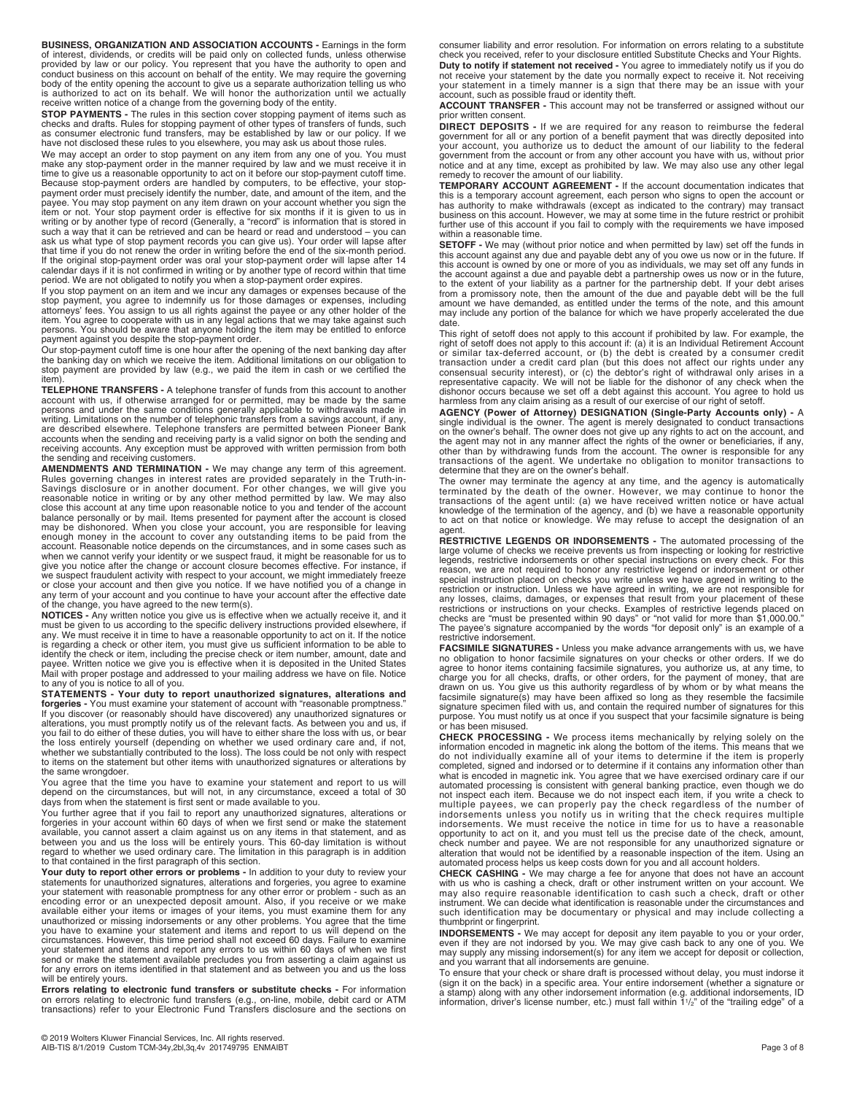**BUSINESS, ORGANIZATION AND ASSOCIATION ACCOUNTS -** Earnings in the form<br>of interest, dividends, or credits will be paid only on collected funds, unless otherwise<br>provided by law or our policy. You represent that you have

body of the entity opening the account to give us a separate authorization telling us who<br>is authorized to act on its behalf. We will honor the authorization until we actually<br>receive written notice of a change from the go

time to give us a reasonable opportunity to act on it before our stop-payment cutoff time.<br>Because stop-payment orders are handled by computers, to be effective, your stop-<br>payment order must precisely identify the number, payee. You may stop payment on any item drawn on your account whether you sign the<br>item or not. Your stop payment order is effective for six months if it is given to us in<br>writing or by another type of record (Generally, a such a way that it can be retrieved and can be heard or read and understood – you can<br>ask us what type of stop payment records you can give us). Your order will lapse after<br>that time if you do not renew the order in writin If the original stop-payment order was oral your stop-payment order will lapse after 14<br>calendar days if it is not confirmed in writing or by another type of record within that time<br>period. We are not obligated to notify y

If you stop payment on an item and we incur any damages or expenses because of the<br>stop payment, you agree to indemnify us for those damages or expenses, including<br>attorneys' fees. You assign to us all rights against the p

Our stop-payment cutoff time is one hour after the opening of the next banking day after the banking day on which we receive the item. Additional limitations on our obligation to stop payment are provided by law (e.g., we paid the item in cash or we certified the item).

**TELEPHONE TRANSFERS -** A telephone transfer of funds from this account to another account with us, if otherwise arranged for or permitted, may be made by the same persons and under the same conditions generally applicable to withdrawals made in<br>writing. Limitations on the number of telephonic transfers from a savings account, if any,<br>are described elsewhere. Telephone transfers are the sending and receiving customers.

**AMENDMENTS AND TERMINATION -** We may change any term of this agreement.<br>Rules governing changes in interest rates are provided separately in the Truth-in-<br>Savings disclosure or in another document. For other changes, we w reasonable notice in writing or by any other method permitted by law. We may also close this account at any time upon reasonable notice to you and tender of the account balance personally or by mail. Items presented for payment after the account is closed<br>may be dishonored. When you close your account, you are responsible for leaving<br>enough money in the account to cover any outstanding it account. Reasonable notice depends on the circumstances, and in some cases such as when we cannot verify your identity or we suspect fraud, it might be reasonable for us to give you notice after the change or account closure becomes effective. For instance, if we suspect fraudulent activity with respect to your account, we might immediately freeze<br>or close your account and then give you notice. If we have notified you of a change in<br>any term of your account and you continue to h of the change, you have agreed to the new term(s).

**NOTICES -** Any written notice you give us is effective when we actually receive it, and it must be given to us according to the specific delivery instructions provided elsewhere, if<br>any. We must receive it in time to have a reasonable opportunity to act on it. If the notice<br>is regarding a check or other item, yo identify the check or item, including the precise check or item number, amount, date and<br>payee. Written notice we give you is effective when it is deposited in the United States<br>Mail with proper postage and addressed to yo

to any of you is notice to all of you.<br> **STATEMENTS - Your duty to report unauthorized signatures, alterations and<br>
forgeries - You must examine your statement of account with "reasonable promptness."<br>
If you discover (or** the loss entirely yourself (depending on whether we used ordinary care and, if not, whether we substantially contributed to the loss). The loss could be not only with respect to items on the statement but other items with unauthorized signatures or alterations by the same wrongdoer.

You agree that the time you have to examine your statement and report to us will<br>depend on the circumstances, but will not, in any circumstance, exceed a total of 30<br>days from when the statement is first sent or made avail

You further agree that if you fail to report any unauthorized signatures, alterations or forgeries in your account within 60 days of when we first send or make the statement<br>available, you cannot assert a claim against us on any items in that statement, and as<br>between you and us the loss will be entirely yours

Your duty to report other errors or problems - In addition to your duty to review your statements for unauthorized signatures, alterations and forgeries, you agree to examine your statement with reasonable promptness for any other error or problem - such as an encoding error or an unexpected deposit amount. Also, if you receive or we make available either your items or images of your items, you must examine them for any unauthorized or missing indorsements or any other problems. You agree that the time you have to examine your statement and items and report to us will depend on the circumstances. However, this time period shall not exceed 60 days. Failure to examine your statement and items and report any errors to us within 60 days of when we first send or make the statement available precludes you from asserting a claim against us for any errors on items identified in that statement and as between you and us the loss will be entirely yours.

**Errors relating to electronic fund transfers or substitute checks -** For information<br>on errors relating to electronic fund transfers (e.g., on-line, mobile, debit card or ATM<br>transactions) refer to your Electronic Fund Tr

consumer liability and error resolution. For information on errors relating to a substitute check you received, refer to your disclosure entitled Substitute Checks and Your Rights. **Duty to notify if statement not received -** You agree to immediately notify us if you do<br>not receive your statement by the date you normally expect to receive it. Not receiving<br>your statement in a timely manner is a sign account, such as possible fraud or identity theft.

**ACCOUNT TRANSFER -** This account may not be transferred or assigned without our prior written consent.

**DIRECT DEPOSITS -** If we are required for any reason to reimburse the federal<br>government for all or any portion of a benefit payment that was directly deposited into<br>your account, you authorize us to deduct the amount of government from the account or from any other account you have with us, without prior notice and at any time, except as prohibited by law. We may also use any other legal remedy to recover the amount of our liability.

**TEMPORARY ACCOUNT AGREEMENT -** If the account documentation indicates that this is a temporary account agreement, each person who signs to open the account or has authority to make withdrawals (except as indicated to the contrary) may transact business on this account. However, we may at some time in the future restrict or prohibit further use of this account if you fail to comply with the requirements we have imposed within a reasonable time.

**SETOFF -** We may (without prior notice and when permitted by law) set off the funds in this account against any due and payable debt any of you owe us now or in the future. If this account is owned by one or more of you as individuals, we may set off any funds in<br>the account against a due and payable debt a partnership owes us now or in the future,<br>to the extent of your liability as a partner fo from a promissory note, then the amount of the due and payable debt will be the full amount we have demanded, as entitled under the terms of the note, and this amount may include any portion of the balance for which we have properly accelerated the due date.

This right of setoff does not apply to this account if prohibited by law. For example, the right of setoff does not apply to this account if: (a) it is an Individual Retirement Account or similar tax-deferred account, or (b) the debt is created by a consumer credit transaction under a credit card plan (but this does not affect our rights under any<br>consensual security interest), or (c) the debtor's right of withdrawal only arises in a<br>representative capacity. We will not be liable for

**AGENCY (Power of Attorney) DESIGNATION (Single-Party Accounts only) -** A single individual is the owner. The agent is merely designated to conduct transactions<br>on the owner's behalf. The owner does not give up any rights to act on the account, and<br>the agent may not in any manner affect the righ other than by withdrawing funds from the account. The owner is responsible for any<br>transactions of the agent. We undertake no obligation to monitor transactions to<br>determine that they are on the owner's behalf.

The owner may terminate the agency at any time, and the agency is automatically terminated by the death of the owner. However, we may continue to honor the<br>transactions of the agent until: (a) we have received written notice or have actual<br>knowledge of the termination of the agency, and (b) we have a agent.

**RESTRICTIVE LEGENDS OR INDORSEMENTS -** The automated processing of the large volume of checks we receive prevents us from inspecting or looking for restrictive<br>legends, restrictive indorsements or other special instructions on every check. For this<br>reason, we are not required to honor any res special instruction placed on checks you write unless we have agreed in writing to the restriction or instruction. Unless we have agreed in writing, we are not responsible for any losses, claims, damages, or expenses that result from your placement of these restrictions or instructions on your checks. Examples of restrictive legends placed on<br>checks are "must be presented within 90 days" or "not valid for more than \$1,000.00."<br>The payee's signature accompanied by the words " restrictive indorsement.

**FACSIMILE SIGNATURES -** Unless you make advance arrangements with us, we have no obligation to honor facsimile signatures on your checks or other orders. If we do<br>agree to honor items containing facsimile signatures, you authorize us, at any time, to<br>charge you for all checks, drafts, or other order purpose. You must notify us at once if you suspect that your facsimile signature is being or has been misused.

**CHECK PROCESSING -** We process items mechanically by relying solely on the information encoded in magnetic ink along the bottom of the items. This means that we do not individually examine all of your items to determine i what is encoded in magnetic ink. You agree that we have exercised ordinary care if our<br>automated processing is consistent with general banking practice, even though we do<br>not inspect each item. Because we do not inspect ea multiple payees, we can properly pay the check regardless of the number of<br>indorsements unless you notify us in writing that the check requires multiple<br>indorsements. We must receive the notice in time for us to have a rea opportunity to act on it, and you must tell us the precise date of the check, amount,<br>check number and payee. We are not responsible for any unauthorized signature or<br>alteration that would not be identified by a reasonable automated process helps us keep costs down for you and all account holders.

**CHECK CASHING -** We may charge a fee for anyone that does not have an account<br>with us who is cashing a check, draft or other instrument written on your account. We<br>may also require reasonable identification to cash such a instrument. We can decide what identification is reasonable under the circumstances and such identification may be documentary or physical and may include collecting a thumbprint or fingerprint.

**INDORSEMENTS -** We may accept for deposit any item payable to you or your order,<br>even if they are not indorsed by you. We may give cash back to any one of you. We<br>may supply any missing indorsement(s) for any item we acce

To ensure that your check or share draft is processed without delay, you must indorse it (sign it on the back) in a specific area. Your entire indorsement (whether a signature or<br>a stamp) along with any other indorsement information (e.g. additional indorsements, ID<br>information, driver's license number, etc.)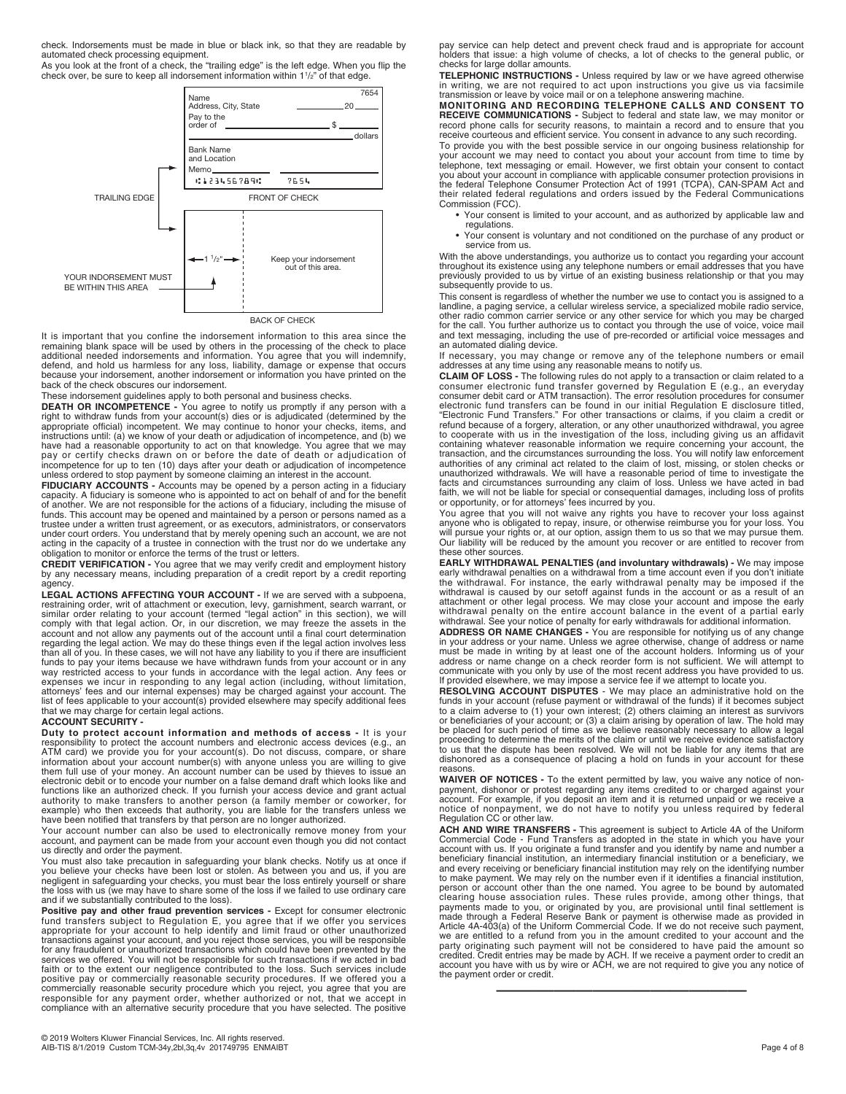check. Indorsements must be made in blue or black ink, so that they are readable by automated check processing equipment.

As you look at the front of a check, the "trailing edge" is the left edge. When you flip the check over, be sure to keep all indorsement information within 11/2" of that edge.



BACK OF CHECK

It is important that you confine the indorsement information to this area since the remaining blank space will be used by others in the processing of the check to place additional needed indorsements and information. You agree that you will indemnify,<br>defend, and hold us harmless for any loss, liability, damage or expense that occurs<br>because your indorsement, another indorsement or inform back of the check obscures our indorsement.

These indorsement guidelines apply to both personal and business checks.<br> **DEATH OR INCOMPETENCE -** You agree to notify us promptly if any person with a<br>
right to withdraw funds from your account(s) dies or is adjudicated pay or certify checks drawn on or before the date of death or adjudication of incompetence for up to ten (10) days after your death or adjudication of incompetence unless ordered to stop payment by someone claiming an interest in the account.

**FIDUCIARY ACCOUNTS -** Accounts may be opened by a person acting in a fiduciary capacity. A fiduciary is someone who is appointed to act on behalf of and for the benefit of another. We are not responsible for the actions of a fiduciary, including the misuse of<br>funds. This account may be opened and maintained by a person or persons named as a<br>trustee under a written trust agreement, or as e under court orders. You understand that by merely opening such an account, we are not acting in the capacity of a trustee in connection with the trust nor do we undertake any obligation to monitor or enforce the terms of the trust or letters.

**CREDIT VERIFICATION -** You agree that we may verify credit and employment history by any necessary means, including preparation of a credit report by a credit reporting agency.

**LEGAL ACTIONS AFFECTING YOUR ACCOUNT -** If we are served with a subpoena, restraining order, writ of attachment or execution, levy, garnishment, search warrant, or<br>similar order relating to your account (termed "legal action" in this section), we will<br>comply with that legal action. Or, in our di account and not allow any payments out of the account until a final court determination<br>regarding the legal action. We may do these things even if the legal action involves less<br>than all of you. In these cases, we will not funds to pay your items because we have withdrawn funds from your account or in any<br>way restricted access to your funds in accordance with the legal action. Any fees or<br>expenses we incur in responding to any legal action ( attorneys' fees and our internal expenses) may be charged against your account. The<br>list of fees applicable to your account(s) provided elsewhere may specify additional fees<br>that we may charge for certain legal actions.

#### **ACCOUNT SECURITY -**

**Duty to protect account information and methods of access -** It is your responsibility to protect the account numbers and electronic access devices (e.g., an<br>ATM card) we provide you for your account(s). Do not discuss, compare, or share<br>information about your account number(s) with anyone unl functions like an authorized check. If you furnish your access device and grant actual<br>authority to make transfers to another person (a family member or coworker, for<br>example) who then exceeds that authority, you are liabl

Your account number can also be used to electronically remove money from your account, and payment can be made from your account even though you did not contact us directly and order the payment.

You must also take precaution in safeguarding your blank checks. Notify us at once if<br>you believe your checks have been lost or stolen. As between you and us, if you are<br>negligent in safeguarding your checks, you must bear and if we substantially contributed to the loss).

Positive pay and other fraud prevention services - Except for consumer electronic fund transfers subject to Regulation E, you agree that if we offer you services appropriate for your account to help identify and limit fraud or other unauthorized transactions against your account, and you reject those services, you will be responsible<br>for any fraudulent or unauthorized transactions which could have been prevented by the<br>services we offered. You will not be responsi faith or to the extent our negligence contributed to the loss. Such services include positive pay or commercially reasonable security procedures. If we offered you a commercially reasonable security procedure which you reject, you agree that you are responsible for any payment order, whether authorized or not, that we accept in compliance with an alternative security procedure that you have selected. The positive

pay service can help detect and prevent check fraud and is appropriate for account holders that issue: a high volume of checks, a lot of checks to the general public, or checks for large dollar amounts.

**TELEPHONIC INSTRUCTIONS -** Unless required by law or we have agreed otherwise<br>in writing, we are not required to act upon instructions you give us via facsimile<br>transmission or leave by voice mail or on a telephone answer

**MONITORING AND RECORDING TELEPHONE CALLS AND CONSENT TO**  RECEIVE COMMUNICATIONS - Subject to federal and state law, we may monitor or<br>record phone calls for security reasons, to maintain a record and to ensure that you<br>receive courteous and efficient service. You consent in adva To provide you with the best possible service in our ongoing business relationship for your account we may need to contact you about your account from time to time by<br>telephone, text messaging or email. However, we first obtain your consent to contact<br>you about your account in compliance with applicable cons Commission (FCC).

• Your consent is limited to your account, and as authorized by applicable law and regulations.

• Your consent is voluntary and not conditioned on the purchase of any product or service from us.

With the above understandings, you authorize us to contact you regarding your account throughout its existence using any telephone numbers or email addresses that you have previously provided to us by virtue of an existing business relationship or that you may subsequently provide to us.

This consent is regardless of whether the number we use to contact you is assigned to a landline, a paging service, a cellular wireless service, a specialized mobile radio service, other radio common carrier service or any other service for which you may be charged for the call. You further authorize us to contact you through the use of voice, voice mail and text messaging, including the use of pre-recorded or artificial voice messages and

an automated dialing device.<br>If necessary, you may change or remove any of the telephone numbers or email<br>addresses at any time using any reasonable means to notify us.<br>**CLAIM OF LOSS** - The following rules do not apply to

anyone who is obligated to repay, insure, or otherwise reimburse you for your loss. You will pursue your rights or, at our option, assign them to us so that we may pursue them. Our liability will be reduced by the amount you recover or are entitled to recover from these other sources.

**EARLY WITHDRAWAL PENALTIES (and involuntary withdrawals)** - We may impose early withdrawal penalties on a withdrawal from a time account even if you don't initiate the withdrawal. For instance, the early withdrawal is eas withdrawal penalty on the entire account balance in the event of a partial early

withdrawal. See your notice of penalty for early withdrawals for additional information. **ADDRESS OR NAME CHANGES -** You are responsible for notifying us of any change in your address or your name. Unless we agree otherwise, change of address or name<br>must be made in writing by at least one of the account holders. Informing us of your<br>address or name change on a check reorder form is not communicate with you only by use of the most recent address you have provided to us. If provided elsewhere, we may impose a service fee if we attempt to locate you.

**RESOLVING ACCOUNT DISPUTES** - We may place an administrative hold on the<br>funds in your account (refuse payment or withdrawal of the funds) if it becomes subject<br>to a claim adverse to (1) your own interest; (2) others clai or beneficiaries of your account; or (3) a claim arising by operation of law. The hold may<br>be placed for such period of time as we believe reasonably necessary to allow a legal<br>proceeding to determine the merits of the cla to us that the dispute has been resolved. We will not be liable for any items that are dishonored as a consequence of placing a hold on funds in your account for these reasons.

**WAIVER OF NOTICES -** To the extent permitted by law, you waive any notice of non-<br>payment, dishonor or protest regarding any items credited to or charged against your<br>account. For example, if you deposit an item and it is

**ACH AND WIRE TRANSFERS -** This agreement is subject to Article 4A of the Uniform Commercial Code - Fund Transfers as adopted in the state in which you have your account with us. If you originate a fund transfer and you identify by name and number a<br>beneficiary financial institution, an intermediary financial institution or a beneficiary, we<br>and every receiving or beneficiary finan to make payment. We may rely on the number even if it identifies a financial institution,<br>person or account other than the one named. You agree to be bound by automated<br>clearing house association rules. These rules provide payments made to you, or originated by you, are provisional until final settlement is<br>made through a Federal Reserve Bank or payment is otherwise made as provided in<br>Article 4A-403(a) of the Uniform Commercial Code. If we we are entitled to a refund from you in the amount credited to your account and the<br>party originating such payment will not be considered to have paid the amount so<br>credited. Credit entries may be made by ACH. If we receiv account you have with us by wire or ACH, we are not required to give you any notice of the payment order or credit.

—————————————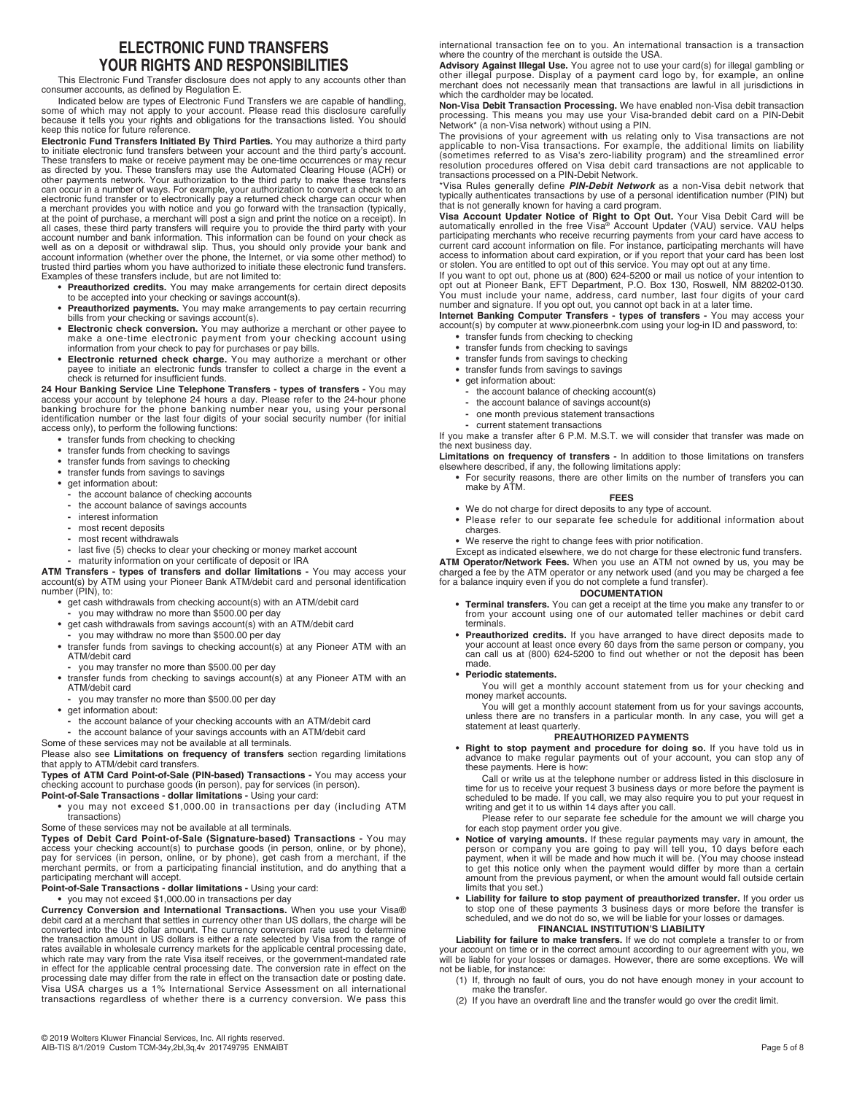# **ELECTRONIC FUND TRANSFERS YOUR RIGHTS AND RESPONSIBILITIES**

This Electronic Fund Transfer disclosure does not apply to any accounts other than consumer accounts, as defined by Regulation E.

Indicated below are types of Electronic Fund Transfers we are capable of handling, some of which may not apply to your account. Please read this disclosure carefully because it tells you your rights and obligations for the transactions listed. You should keep this notice for future reference.

**Electronic Fund Transfers Initiated By Third Parties.** You may authorize a third party to initiate electronic fund transfers between your account and the third party's account. These transfers to make or receive payment may be one-time occurrences or may recur as directed by you. These transfers may use the Automated Clearing House (ACH) or<br>other payments network. Your authorization to the third party to make these transfers<br>can occur in a number of ways. For example, your autho electronic fund transfer or to electronically pay a returned check charge can occur when<br>a merchant provides you with notice and you go forward with the transaction (typically,<br>at the point of purchase, a merchant will pos well as on a deposit or withdrawal slip. Thus, you should only provide your bank and<br>account information (whether over the phone, the Internet, or via some other method) to<br>trusted third parties whom you have authorized to Examples of these transfers include, but are not limited to:

- **Preauthorized credits.** You may make arrangements for certain direct deposits
- to be accepted into your checking or savings account(s).<br>• Preauthorized payments. You may make arrangements to pay certain recurring<br>bills from your checking or savings account(s).
- **Electronic check conversion.** You may authorize a merchant or other payee to make a one-time electronic payment from your checking account using information from your check to pay for purchases or pay bills.
- **Electronic returned check charge.** You may authorize a merchant or other payee to initiate an electronic funds transfer to collect a charge in the event a check is returned for insufficient funds.

# **24 Hour Banking Service Line Telephone Transfers - types of transfers -** You may access your account by telephone 24 hours a day. Please refer to the 24-hour phone<br>banking brochure for the phone banking number near you, using your personal<br>identification number or the last four digits of your social se

- access only), to perform the following functions: **•** transfer funds from checking to checking
	-
	- **•** transfer funds from checking to savings
	- **•** transfer funds from savings to checking **•** transfer funds from savings to savings
	- **•** get information about:
		- **-** the account balance of checking accounts
		- **-** the account balance of savings accounts
		- **-** interest information
		- **-** most recent deposits
		- **-** most recent withdrawals
		- last five (5) checks to clear your checking or money market account
		- **-** maturity information on your certificate of deposit or IRA

**ATM Transfers - types of transfers and dollar limitations -** You may access your account(s) by ATM using your Pioneer Bank ATM/debit card and personal identification number (PIN), to:

- **•** get cash withdrawals from checking account(s) with an ATM/debit card **-** you may withdraw no more than \$500.00 per day
- **•** get cash withdrawals from savings account(s) with an ATM/debit card
- you may withdraw no more than \$500.00 per day
- **•** transfer funds from savings to checking account(s) at any Pioneer ATM with an ATM/debit card
- **-** you may transfer no more than \$500.00 per day
- **•** transfer funds from checking to savings account(s) at any Pioneer ATM with an ATM/debit card
- **-** you may transfer no more than \$500.00 per day
- **•** get information about:
	- **-** the account balance of your checking accounts with an ATM/debit card
- **-** the account balance of your savings accounts with an ATM/debit card
- Some of these services may not be available at all terminals.

Please also see **Limitations on frequency of transfers** section regarding limitations that apply to ATM/debit card transfers.

**Types of ATM Card Point-of-Sale (PIN-based) Transactions -** You may access your checking account to purchase goods (in person), pay for services (in person). **Point-of-Sale Transactions - dollar limitations -** Using your card:

**•** you may not exceed \$1,000.00 in transactions per day (including ATM transactions)

Some of these services may not be available at all terminals.

**Types of Debit Card Point-of-Sale (Signature-based) Transactions -** You may access your checking account(s) to purchase goods (in person, online, or by phone),<br>pay for services (in person, online, or by phone), get cash from a merchant, if the merchant permits, or from a participating financial institution, and do anything that a participating merchant will accept.

**Point-of-Sale Transactions - dollar limitations -** Using your card:

**•** you may not exceed \$1,000.00 in transactions per day

**Currency Conversion and International Transactions.** When you use your Visa® debit card at a merchant that settles in currency other than US dollars, the charge will be converted into the US dollar amount. The currency co which rate may vary from the rate Visa itself receives, or the government-mandated rate<br>in effect for the applicable central processing date. The conversion rate in effect on the<br>processing date may differ from the rate in Visa USA charges us a 1% International Service Assessment on all international transactions regardless of whether there is a currency conversion. We pass this

international transaction fee on to you. An international transaction is a transaction where the country of the merchant is outside the USA.

**Advisory Against Illegal Use.** You agree not to use your card(s) for illegal gambling or<br>other illegal purpose. Display of a payment card logo by, for example, an online<br>merchant does not necessarily mean that transaction which the cardholder may be located.

**Non-Visa Debit Transaction Processing.** We have enabled non-Visa debit transaction processing. This means you may use your Visa-branded debit card on a PIN-Debit<br>Network\* (a non-Visa network) without using a PIN.<br>The provisions of your agreement with us relating only to Visa transactions are not<br>applicab

(sometimes referred to as Visa's zero-liability program) and the streamlined error resolution procedures offered on Visa debit card transactions are not applicable to transactions processed on a PIN-Debit Network.

\*Visa Rules generally define *PIN-Debit Network* as a non-Visa debit network that

typically authenticates transactions by use of a personal identification number (PIN) but<br>that is not generally known for having a card program.<br>Visa Account Updater Notice of Right to Opt Out. Your Visa Debit Card will be access to information about card expiration, or if you report that your card has been lost

or stolen. You are entitled to opt out of this service. You may opt out at any time.<br>If you want to opt out, phone us at (800) 624-5200 or mail us notice of your intention to<br>opt out at Pioneer Bank, EFT Department, P.O. B

**Internet Banking Computer Transfers - types of transfers -** You may access your account(s) by computer at www.pioneerbnk.com using your log-in ID and password, to:

- **•** transfer funds from checking to checking
- **•** transfer funds from checking to savings **•** transfer funds from savings to checking
- **•** transfer funds from savings to savings
- **•** get information about:
	- **-** the account balance of checking account(s)
	- **-** the account balance of savings account(s)
	- **-** one month previous statement transactions
	- **-** current statement transactions

If you make a transfer after 6 P.M. M.S.T. we will consider that transfer was made on the next business day.

**Limitations on frequency of transfers -** In addition to those limitations on transfers elsewhere described, if any, the following limitations apply:

**•** For security reasons, there are other limits on the number of transfers you can make by ATM.

#### **FEES**

- **•** We do not charge for direct deposits to any type of account.
- **•** Please refer to our separate fee schedule for additional information about charges.
- **•** We reserve the right to change fees with prior notification.

Except as indicated elsewhere, we do not charge for these electronic fund transfers. **ATM Operator/Network Fees.** When you use an ATM not owned by us, you may be charged a fee by the ATM operator or any network used (and you may be charged a fee for a balance inquiry even if you do not complete a fund transfer).

#### **DOCUMENTATION**

- **Terminal transfers.** You can get a receipt at the time you make any transfer to or from your account using one of our automated teller machines or debit card terminals.
- **Preauthorized credits.** If you have arranged to have direct deposits made to your account at least once every 60 days from the same person or company, you can call us at (800) 624-5200 to find out whether or not the deposit has been made.
- **Periodic statements.**

You will get a monthly account statement from us for your checking and money market accounts.

You will get a monthly account statement from us for your savings accounts, unless there are no transfers in a particular month. In any case, you will get a statement at least quarterly.

### **PREAUTHORIZED PAYMENTS**

**• Right to stop payment and procedure for doing so.** If you have told us in advance to make regular payments out of your account, you can stop any of these payments. Here is how:

Call or write us at the telephone number or address listed in this disclosure in<br>time for us to receive your request 3 business days or more before the payment is<br>scheduled to be made. If you call, we may also require you writing and get it to us within 14 days after you call.

Please refer to our separate fee schedule for the amount we will charge you for each stop payment order you give.

- **Notice of varying amounts.** If these regular payments may vary in amount, the person or company you are going to pay will tell you, 10 days before each<br>payment, when it will be made and how much it will be. (You may choose instead<br>to get this notice only when the payment would differ by more than a amount from the previous payment, or when the amount would fall outside certain limits that you set.)
- Liability for failure to stop payment of preauthorized transfer. If you order us<br>to stop one of these payments 3 business days or more before the transfer is<br>scheduled, and we do not do so, we will be liable for your los

### **FINANCIAL INSTITUTION'S LIABILITY**

**Liability for failure to make transfers.** If we do not complete a transfer to or from your account on time or in the correct amount according to our agreement with you, we will be liable for your losses or damages. However, there are some exceptions. We will not be liable, for instance:

- (1) If, through no fault of ours, you do not have enough money in your account to make the transfer.
- (2) If you have an overdraft line and the transfer would go over the credit limit.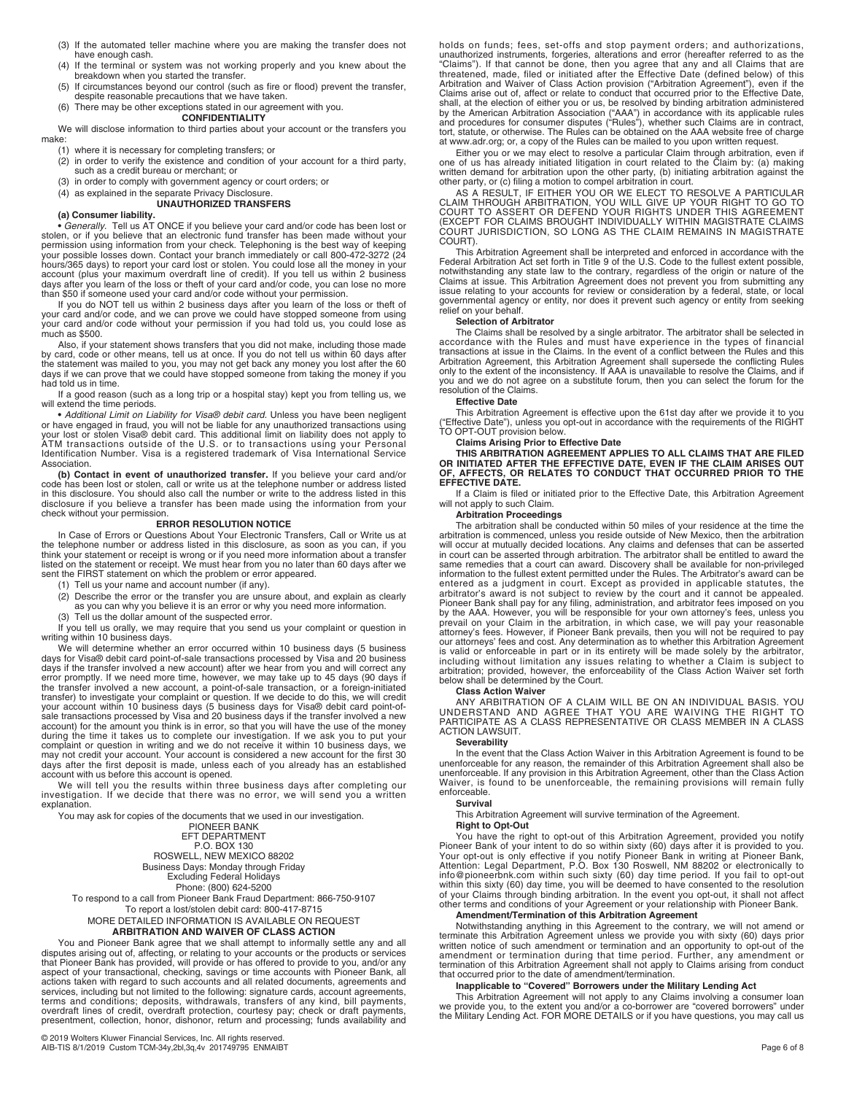- (3) If the automated teller machine where you are making the transfer does not have enough cash.
- (4) If the terminal or system was not working properly and you knew about the breakdown when you started the transfer.
- (5) If circumstances beyond our control (such as fire or flood) prevent the transfer, despite reasonable precautions that we have taken.
- (6) There may be other exceptions stated in our agreement with you.

# **CONFIDENTIALITY**

We will disclose information to third parties about your account or the transfers you make:

- (1) where it is necessary for completing transfers; or
- (2) in order to verify the existence and condition of your account for a third party, such as a credit bureau or merchant; or
- (3) in order to comply with government agency or court orders; or
- (4) as explained in the separate Privacy Disclosure. **UNAUTHORIZED TRANSFERS**

**(a) Consumer liability. •** *Generally.* Tell us AT ONCE if you believe your card and/or code has been lost or stolen, or if you believe that an electronic fund transfer has been made without your<br>permission using information from your check. Telephoning is the best way of keeping<br>your possible losses down. Contact your branch imme hours/365 days) to report your card lost or stolen. You could lose all the money in your account (plus your maximum overdraft line of credit). If you tell us within 2 business days after you learn of the loss or theft of your card and/or code, you can lose no more than \$50 if someone used your card and/or code without your permission.

If you do NOT tell us within 2 business days after you learn of the loss or theft of<br>your card and/or code, and we can prove we could have stopped someone from using<br>your card and/or code without your permission if you had much as \$500.

Also, if your statement shows transfers that you did not make, including those made by card, code or other means, tell us at once. If you do not tell us within 60 days after the statement was mailed to you, you may not get back any money you lost after the 60 days if we can prove that we could have stopped someone from taking the money if you had told us in time.

If a good reason (such as a long trip or a hospital stay) kept you from telling us, we will extend the time periods.

**•** *Additional Limit on Liability for Visa® debit card.* Unless you have been negligent or have engaged in fraud, you will not be liable for any unauthorized transactions using<br>your lost or stolen Visa® debit card. This additional limit on liability does not apply to<br>ATM transactions outside of the U.S. or to Identification Number. Visa is a registered trademark of Visa International Service Association.

**(b) Contact in event of unauthorized transfer.** If you believe your card and/or code has been lost or stolen, call or write us at the telephone number or address listed<br>in this disclosure. You should also call the number or write to the address listed in this<br>disclosure if you believe a transfer has b check without your permission.

#### **ERROR RESOLUTION NOTICE**

In Case of Errors or Questions About Your Electronic Transfers, Call or Write us at the telephone number or address listed in this disclosure, as soon as you can, if you think your statement or receipt is wrong or if you need more information about a transfer listed on the statement or receipt. We must hear from you no later than 60 days after we sent the FIRST statement on which the problem or error appeared.

(1) Tell us your name and account number (if any).

- (2) Describe the error or the transfer you are unsure about, and explain as clearly as you can why you believe it is an error or why you need more information.
- (3) Tell us the dollar amount of the suspected error.

If you tell us orally, we may require that you send us your complaint or question in writing within 10 business days.

We will determine whether an error occurred within 10 business days (5 business days for Visa® debit card point-of-sale transactions processed by Visa and 20 business days if the transfer involved a new account) after we hear from you and will correct any error promptly. If we need more time, however, we may take up to 45 days (90 days if the transfer involved a new account, a point-of-sale transaction, or a foreign-initiated<br>transfer) to investigate your complaint or question. If we decide to do this, we will credit<br>your account within 10 business days (5 during the time it takes us to complete our investigation. If we ask you to put your complaint or question in writing and we do not receive it within 10 business days, we<br>may not credit your account. Your account is considered a new account for the first 30<br>days after the first deposit is made, unless each account with us before this account is opened.

We will tell you the results within three business days after completing our investigation. If we decide that there was no error, we will send you a written explanation.

You may ask for copies of the documents that we used in our investigation. PIONEER BANK EFT DEPARTMENT P.O. BOX 130 ROSWELL, NEW MEXICO 88202 Business Days: Monday through Friday Excluding Federal Holidays Phone: (800) 624-5200 To respond to a call from Pioneer Bank Fraud Department: 866-750-9107 To report a lost/stolen debit card: 800-417-8715 MORE DETAILED INFORMATION IS AVAILABLE ON REQUEST **ARBITRATION AND WAIVER OF CLASS ACTION** 

# You and Pioneer Bank agree that we shall attempt to informally settle any and all<br>disputes arising out of, affecting, or relating to your accounts or the products or services<br>that Pioneer Bank has provided, will provide or aspect of your transactional, checking, savings or time accounts with Pioneer Bank, all actions taken with regard to such accounts and all related documents, agreements and services, including but not limited to the following: signature cards, account agreements, terms and conditions; deposits, withdrawals, transfers of any kind, bill payments,<br>overdraft lines of credit, overdraft protection, courtesy pay; check or draft payments,<br>presentment, collection, honor, dishonor, return an

holds on funds; fees, set-offs and stop payment orders; and authorizations, unauthorized instruments, forgeries, alterations and error (hereafter referred to as the "Claims"). If that cannot be done, then you agree that any and all Claims that are threatened, made, filed or initiated after the Effective Date (defined below) of this Arbitration and Waiver of Class Action provision ("Ar at www.adr.org; or, a copy of the Rules can be mailed to you upon written request.

Either you or we may elect to resolve a particular Claim through arbitration, even if<br>one of us has already initiated litigation in court related to the Claim by: (a) making<br>written demand for arbitration upon the other pa

AS A RESULT, IF EITHER YOU OR WE ELECT TO RESOLVE A PARTICULAR<br>CLAIM THROUGH ARBITRATION, YOU WILL GIVE UP YOUR RIGHT TO GO TO<br>COURT TO ASSERT OR DEFEND YOUR RIGHTS UNDER THIS AGREEMENT<br>(EXCEPT FOR CLAIMS BROUGHT INDIVIDUA COURT JURISDICTION, SO LONG AS THE CLAIM REMAINS IN MAGISTRATE COURT).

This Arbitration Agreement shall be interpreted and enforced in accordance with the Federal Arbitration Act set forth in Title 9 of the U.S. Code to the fullest extent possible, notwithstanding any state law to the contrar

#### **Selection of Arbitrator**

The Claims shall be resolved by a single arbitrator. The arbitrator shall be selected in accordance with the Rules and must have experience in the types of financial transactions at issue in the Claims. In the event of a conflict between the Rules and this<br>Arbitration Agreement, this Arbitration Agreement shall supersede the conflicting Rules<br>only to the extent of the inconsistency. If you and we do not agree on a substitute forum, then you can select the forum for the resolution of the Claims.

#### **Effective Date**

This Arbitration Agreement is effective upon the 61st day after we provide it to you ("Effective Date"), unless you opt-out in accordance with the requirements of the RIGHT TO OPT-OUT provision below.

**Claims Arising Prior to Effective Date THIS ARBITRATION AGREEMENT APPLIES TO ALL CLAIMS THAT ARE FILED OR INITIATED AFTER THE EFFECTIVE DATE, EVEN IF THE CLAIM ARISES OUT OF, AFFECTS, OR RELATES TO CONDUCT THAT OCCURRED PRIOR TO THE EFFECTIVE DATE.** 

If a Claim is filed or initiated prior to the Effective Date, this Arbitration Agreement will not apply to such Claim.

### **Arbitration Proceedings**

The arbitration shall be conducted within 50 miles of your residence at the time the<br>arbitration is commenced, unless you reside outside of New Mexico, then the arbitration<br>will occur at mutually decided locations. Any cla same remedies that a court can award. Discovery shall be available for non-privileged information to the fullest extent permitted under the Rules. The Arbitrator's award can be information to the fullest extent permitted under the Rules. The Arbitrator's award can be entered as a judgment in court. Except as provided in applicable statutes, the arbitrator's award is not subject to review by the c our attorneys' fees and cost. Any determination as to whether this Arbitration Agreement is valid or enforceable in part or in its entirety will be made solely by the arbitrator,<br>including without limitation any issues relating to whether a Claim is subject to<br>arbitration; provided, however, the enforceability

Class Action Waiver<br>ANY ARBITRATION OF A CLAIM WILL BE ON AN INDIVIDUAL BASIS. YOU<br>UNDERSTAND AND AGREE THAT YOU ARE WAIVING THE RIGHT TO<br>PARTICIPATE AS A CLASS REPRESENTATIVE OR CLASS MEMBER IN A CLASS<br>ACTION LAWSUIT.

#### **Severability**

In the event that the Class Action Waiver in this Arbitration Agreement is found to be<br>unenforceable for any reason, the remainder of this Arbitration Agreement shall also be<br>unenforceable. If any provision in this Arbitra Waiver, is found to be unenforceable, the remaining provisions will remain fully enforceable.

#### **Survival**

This Arbitration Agreement will survive termination of the Agreement.

#### **Right to Opt-Out**

You have the right to opt-out of this Arbitration Agreement, provided you notify<br>Pioneer Bank of your intent to do so within sixty (60) days after it is provided to you.<br>Your opt-out is only effective if you notify Pioneer

#### **Amendment/Termination of this Arbitration Agreement**

Notwithstanding anything in this Agreement to the contrary, we will not amend or terminate this Arbitration Agreement unless we provide you with sixty (60) days prior<br>written notice of such amendment or termination and an opportunity to opt-out of the<br>amendment or termination during that time period. F termination of this Arbitration Agreement shall not apply to Claims arising from conduct that occurred prior to the date of amendment/termination.

## **Inapplicable to "Covered" Borrowers under the Military Lending Act**

This Arbitration Agreement will not apply to any Claims involving a consumer loan<br>we provide you, to the extent you and/or a co-borrower are "covered borrowers" under<br>the Military Lending Act. FOR MORE DETAILS or if you ha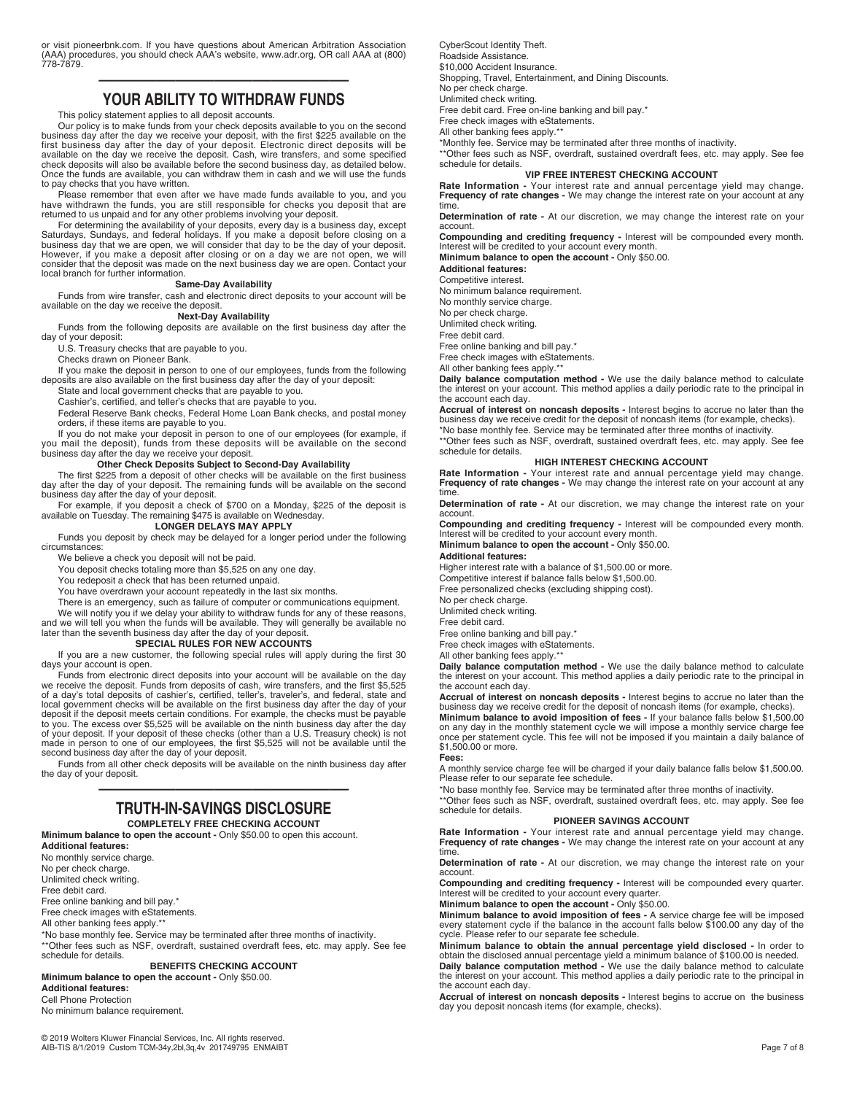or visit pioneerbnk.com. If you have questions about American Arbitration Association (AAA) procedures, you should check AAA's website, www.adr.org, OR call AAA at (800) 778-7879.

# ————————————— **YOUR ABILITY TO WITHDRAW FUNDS**

This policy statement applies to all deposit accounts.

Our policy is to make funds from your check deposits available to you on the second<br>business day after the day we receive your deposit, with the first \$225 available on the<br>first business day after the day of your deposit. available on the day we receive the deposit. Cash, wire transfers, and some specified check deposits will also be available before the second business day, as detailed below. Once the funds are available, you can withdraw them in cash and we will use the funds

to pay checks that you have written.<br>Please remember that even after we have made funds available to you, and you<br>have withdrawn the funds, you are still responsible for checks you deposit that are<br>returned to us unpaid an

For determining the availability of your deposits, every day is a business day, except<br>Saturdays, Sundays, and federal holidays. If you make a deposit before closing on a<br>business day that we are open, we will consider tha However, if you make a deposit after closing or on a day we are not open, we will consider that the deposit was made on the next business day we are open. Contact your local branch for further information.

#### **Same-Day Availability**

Funds from wire transfer, cash and electronic direct deposits to your account will be available on the day we receive the deposit.

#### **Next-Day Availability**

Funds from the following deposits are available on the first business day after the day of your deposit: U.S. Treasury checks that are payable to you.

Checks drawn on Pioneer Bank.

If you make the deposit in person to one of our employees, funds from the following deposits are also available on the first business day after the day of your deposit:

State and local government checks that are payable to you.

Cashier's, certified, and teller's checks that are payable to you.

Federal Reserve Bank checks, Federal Home Loan Bank checks, and postal money orders, if these items are payable to you.

If you do not make your deposit in person to one of our employees (for example, if<br>you mail the deposit), funds from these deposits will be available on the second<br>business day after the day we receive your deposit.<br>**Other** 

The first \$225 from a deposit of other checks will be available on the first business day after the day of your deposit. The remaining funds will be available on the second business day after the day of your deposit.

For example, if you deposit a check of \$700 on a Monday, \$225 of the deposit is available on Tuesday. The remaining \$475 is available on Wednesday. **LONGER DELAYS MAY APPLY** 

Funds you deposit by check may be delayed for a longer period under the following circumstances:

We believe a check you deposit will not be paid.

You deposit checks totaling more than \$5,525 on any one day.

You redeposit a check that has been returned unpaid. You have overdrawn your account repeatedly in the last six months.

There is an emergency, such as failure of computer or communications equipment.

We will notify you if we delay your ability to withdraw funds for any of these reasons,

and we will tell you when the funds will be available. They will generally be available no later than the seventh business day after the day of your deposit.

#### **SPECIAL RULES FOR NEW ACCOUNTS**

If you are a new customer, the following special rules will apply during the first 30 days your account is open. Funds from electronic direct deposits into your account will be available on the day

we receive the deposit. Funds from deposits of cash, wire transfers, and the first \$5,525 of a day's total deposits of cashier's, certified, teller's, traveler's, and federal, state and local government checks will be available on the first business day after the day of your deposit if the deposit meets certain conditions. For example, the checks must be payable to you. The excess over \$5,525 will be available on the ninth business day after the day of your deposit. If your deposit of these checks (other than a U.S. Treasury check) is not made in person to one of our employees, the first \$5,525 will not be available until the second business day after the day of your deposit.

Funds from all other check deposits will be available on the ninth business day after the day of your deposit.

# ————————————— **TRUTH-IN-SAVINGS DISCLOSURE**

**COMPLETELY FREE CHECKING ACCOUNT Minimum balance to open the account -** Only \$50.00 to open this account.

**Additional features:**

No monthly service charge.

No per check charge.

Unlimited check writing.

Free debit card.

Free online banking and bill pay.\*

Free check images with eStatements.

All other banking fees apply.\*\*

\*No base monthly fee. Service may be terminated after three months of inactivity. \*\*Other fees such as NSF, overdraft, sustained overdraft fees, etc. may apply. See fee schedule for details.

### **BENEFITS CHECKING ACCOUNT**

**Minimum balance to open the account -** Only \$50.00. **Additional features:** 

Cell Phone Protection

No minimum balance requirement.

CyberScout Identity Theft. Roadside Assistance. \$10,000 Accident Insurance Shopping, Travel, Entertainment, and Dining Discounts. No per check charge. Unlimited check writing. Free debit card. Free on-line banking and bill pay.\*

Free check images with eStatements.

All other banking fees apply.\*\* \*Monthly fee. Service may be terminated after three months of inactivity.

\*\*Other fees such as NSF, overdraft, sustained overdraft fees, etc. may apply. See fee schedule for details.

#### **VIP FREE INTEREST CHECKING ACCOUNT**

**Rate Information -** Your interest rate and annual percentage yield may change. **Frequency of rate changes -** We may change the interest rate on your account at any time.

**Determination of rate -** At our discretion, we may change the interest rate on your account.

**Compounding and crediting frequency -** Interest will be compounded every month. Interest will be credited to your account every month.

**Minimum balance to open the account -** Only \$50.00.

**Additional features:**

Competitive interest.

No minimum balance requirement.

No monthly service charge.

No per check charge.

Unlimited check writing.

Free debit card.

Free online banking and bill pay.\*

Free check images with eStatements.

All other banking fees apply.\*\*

**Daily balance computation method -** We use the daily balance method to calculate the interest on your account. This method applies a daily periodic rate to the principal in the account each day.

**Accrual of interest on noncash deposits -** Interest begins to accrue no later than the business day we receive credit for the deposit of noncash items (for example, checks).

\*No base monthly fee. Service may be terminated after three months of inactivity. \*\*Other fees such as NSF, overdraft, sustained overdraft fees, etc. may apply. See fee schedule for details.

#### **HIGH INTEREST CHECKING ACCOUNT**

**Rate Information -** Your interest rate and annual percentage yield may change. **Frequency of rate changes -** We may change the interest rate on your account at any time.

**Determination of rate -** At our discretion, we may change the interest rate on your account.

**Compounding and crediting frequency -** Interest will be compounded every month. Interest will be credited to your account every month. **Minimum balance to open the account -** Only \$50.00.

#### **Additional features:**

Higher interest rate with a balance of \$1,500.00 or more.

Competitive interest if balance falls below \$1,500.00.

Free personalized checks (excluding shipping cost).

No per check charge.

Unlimited check writing. Free debit card.

Free online banking and bill pay.\*

Free check images with eStatements.

All other banking fees apply.\*\*

**Daily balance computation method -** We use the daily balance method to calculate the interest on your account. This method applies a daily periodic rate to the principal in the account each day.

**Accrual of interest on noncash deposits -** Interest begins to accrue no later than the business day we receive credit for the deposit of noncash items (for example, checks). **Minimum balance to avoid imposition of fees -** If your balance falls below \$1,500.00<br>on any day in the monthly statement cycle we will impose a monthly service charge fee<br>once per statement cycle. This fee will not be imp \$1,500.00 or more.

#### **Fees:**

A monthly service charge fee will be charged if your daily balance falls below \$1,500.00. Please refer to our separate fee schedule.

\*No base monthly fee. Service may be terminated after three months of inactivity.

\*\*Other fees such as NSF, overdraft, sustained overdraft fees, etc. may apply. See fee schedule for details.

#### **PIONEER SAVINGS ACCOUNT**

**Rate Information -** Your interest rate and annual percentage yield may change. **Frequency of rate changes -** We may change the interest rate on your account at any time.

**Determination of rate -** At our discretion, we may change the interest rate on your account.

**Compounding and crediting frequency -** Interest will be compounded every quarter. Interest will be credited to your account every quarter.

**Minimum balance to open the account -** Only \$50.00.

**Minimum balance to avoid imposition of fees -** A service charge fee will be imposed every statement cycle if the balance in the account falls below \$100.00 any day of the cycle. Please refer to our separate fee schedule.

**Minimum balance to obtain the annual percentage yield disclosed -** In order to obtain the disclosed annual percentage yield a minimum balance of \$100.00 is needed. **Daily balance computation method -** We use the daily balance method to calculate the interest on your account. This method applies a daily periodic rate to the principal in the account each day.

**Accrual of interest on noncash deposits -** Interest begins to accrue on the business day you deposit noncash items (for example, checks).